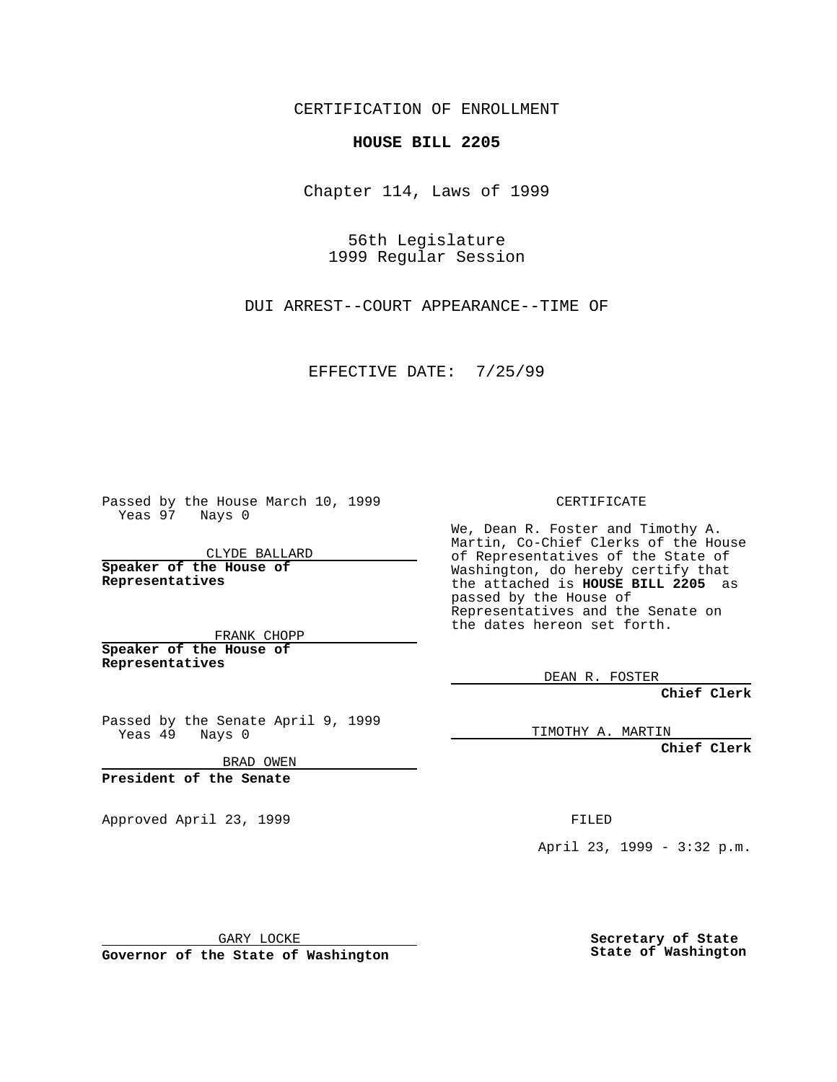CERTIFICATION OF ENROLLMENT

**HOUSE BILL 2205**

Chapter 114, Laws of 1999

56th Legislature 1999 Regular Session

DUI ARREST--COURT APPEARANCE--TIME OF

EFFECTIVE DATE: 7/25/99

Passed by the House March 10, 1999 Yeas 97 Nays 0

CLYDE BALLARD **Speaker of the House of Representatives**

FRANK CHOPP **Speaker of the House of**

**Representatives**

Passed by the Senate April 9, 1999 Yeas 49 Nays 0

BRAD OWEN

**President of the Senate**

Approved April 23, 1999 FILED

CERTIFICATE

We, Dean R. Foster and Timothy A. Martin, Co-Chief Clerks of the House of Representatives of the State of Washington, do hereby certify that the attached is **HOUSE BILL 2205** as passed by the House of Representatives and the Senate on the dates hereon set forth.

DEAN R. FOSTER

**Chief Clerk**

TIMOTHY A. MARTIN

**Chief Clerk**

April 23, 1999 - 3:32 p.m.

GARY LOCKE

**Governor of the State of Washington**

**Secretary of State State of Washington**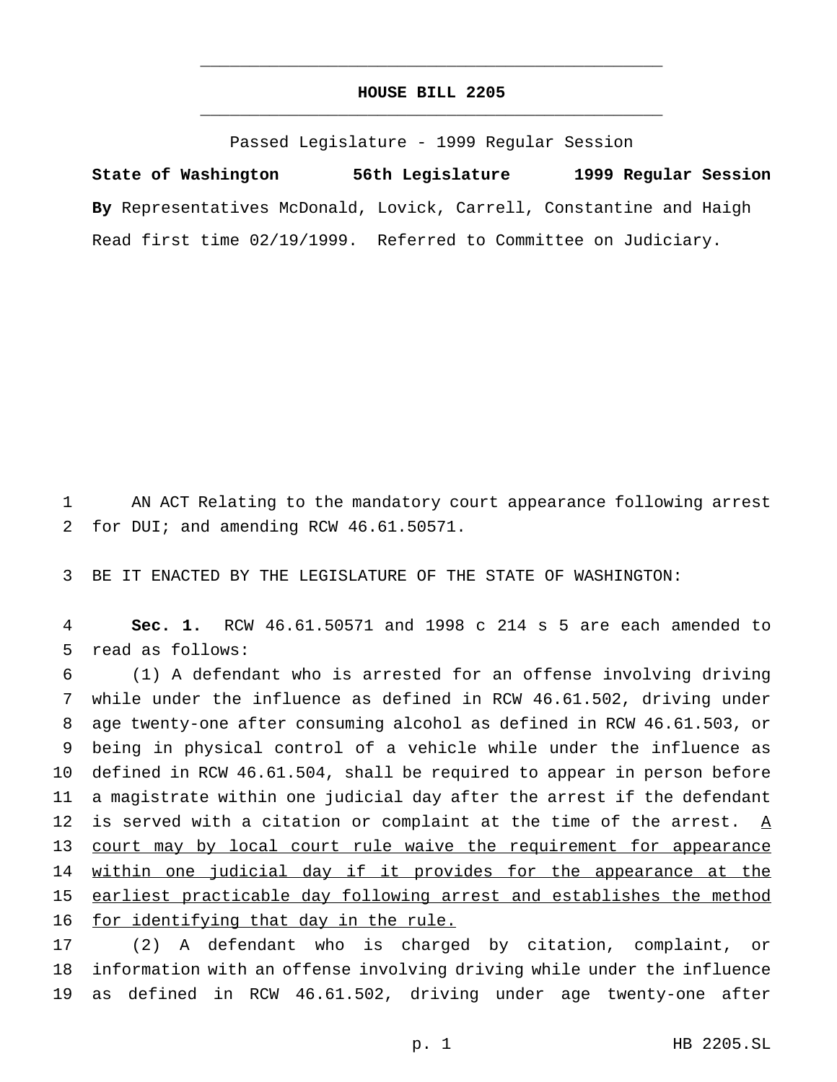## **HOUSE BILL 2205** \_\_\_\_\_\_\_\_\_\_\_\_\_\_\_\_\_\_\_\_\_\_\_\_\_\_\_\_\_\_\_\_\_\_\_\_\_\_\_\_\_\_\_\_\_\_\_

\_\_\_\_\_\_\_\_\_\_\_\_\_\_\_\_\_\_\_\_\_\_\_\_\_\_\_\_\_\_\_\_\_\_\_\_\_\_\_\_\_\_\_\_\_\_\_

Passed Legislature - 1999 Regular Session

**State of Washington 56th Legislature 1999 Regular Session By** Representatives McDonald, Lovick, Carrell, Constantine and Haigh Read first time 02/19/1999. Referred to Committee on Judiciary.

1 AN ACT Relating to the mandatory court appearance following arrest 2 for DUI; and amending RCW 46.61.50571.

3 BE IT ENACTED BY THE LEGISLATURE OF THE STATE OF WASHINGTON:

4 **Sec. 1.** RCW 46.61.50571 and 1998 c 214 s 5 are each amended to 5 read as follows:

 (1) A defendant who is arrested for an offense involving driving while under the influence as defined in RCW 46.61.502, driving under age twenty-one after consuming alcohol as defined in RCW 46.61.503, or being in physical control of a vehicle while under the influence as defined in RCW 46.61.504, shall be required to appear in person before a magistrate within one judicial day after the arrest if the defendant 12 is served with a citation or complaint at the time of the arrest.  $\underline{A}$ 13 court may by local court rule waive the requirement for appearance 14 within one judicial day if it provides for the appearance at the earliest practicable day following arrest and establishes the method for identifying that day in the rule.

17 (2) A defendant who is charged by citation, complaint, or 18 information with an offense involving driving while under the influence 19 as defined in RCW 46.61.502, driving under age twenty-one after